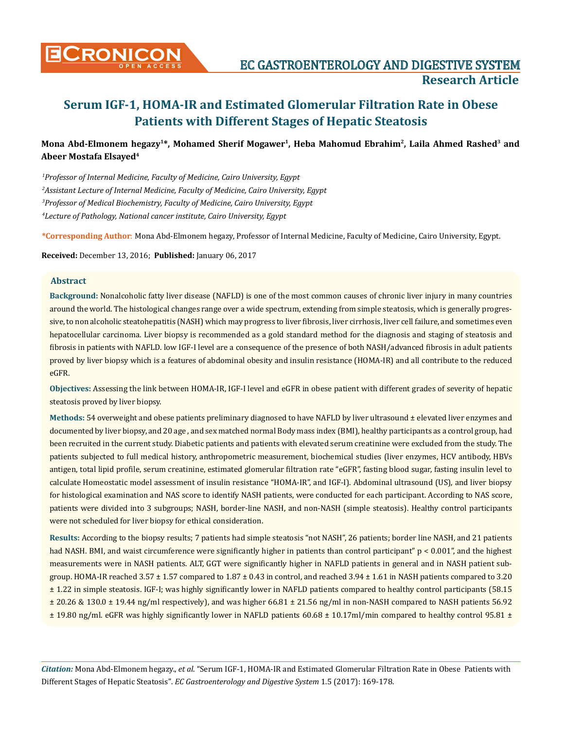

# **Mona Abd-Elmonem hegazy1\*, Mohamed Sherif Mogawer1, Heba Mahomud Ebrahim2, Laila Ahmed Rashed3 and Abeer Mostafa Elsayed4**

 *Professor of Internal Medicine, Faculty of Medicine, Cairo University, Egypt Assistant Lecture of Internal Medicine, Faculty of Medicine, Cairo University, Egypt Professor of Medical Biochemistry, Faculty of Medicine, Cairo University, Egypt Lecture of Pathology, National cancer institute, Cairo University, Egypt*

**\*Corresponding Author**: Mona Abd-Elmonem hegazy, Professor of Internal Medicine, Faculty of Medicine, Cairo University, Egypt.

**Received:** December 13, 2016; **Published:** January 06, 2017

# **Abstract**

**Background:** Nonalcoholic fatty liver disease (NAFLD) is one of the most common causes of chronic liver injury in many countries around the world. The histological changes range over a wide spectrum, extending from simple steatosis, which is generally progressive, to non alcoholic steatohepatitis (NASH) which may progress to liver fibrosis, liver cirrhosis, liver cell failure, and sometimes even hepatocellular carcinoma. Liver biopsy is recommended as a gold standard method for the diagnosis and staging of steatosis and fibrosis in patients with NAFLD. low IGF-I level are a consequence of the presence of both NASH/advanced fibrosis in adult patients proved by liver biopsy which is a features of abdominal obesity and insulin resistance (HOMA-IR) and all contribute to the reduced eGFR.

**Objectives:** Assessing the link between HOMA-IR, IGF-I level and eGFR in obese patient with different grades of severity of hepatic steatosis proved by liver biopsy.

**Methods:** 54 overweight and obese patients preliminary diagnosed to have NAFLD by liver ultrasound ± elevated liver enzymes and documented by liver biopsy, and 20 age , and sex matched normal Body mass index (BMI), healthy participants as a control group, had been recruited in the current study. Diabetic patients and patients with elevated serum creatinine were excluded from the study. The patients subjected to full medical history, anthropometric measurement, biochemical studies (liver enzymes, HCV antibody, HBVs antigen, total lipid profile, serum creatinine, estimated glomerular filtration rate "eGFR", fasting blood sugar, fasting insulin level to calculate Homeostatic model assessment of insulin resistance "HOMA-IR", and IGF-I). Abdominal ultrasound (US), and liver biopsy for histological examination and NAS score to identify NASH patients, were conducted for each participant. According to NAS score, patients were divided into 3 subgroups; NASH, border-line NASH, and non-NASH (simple steatosis). Healthy control participants were not scheduled for liver biopsy for ethical consideration.

**Results:** According to the biopsy results; 7 patients had simple steatosis "not NASH", 26 patients; border line NASH, and 21 patients had NASH. BMI, and waist circumference were significantly higher in patients than control participant" p < 0.001", and the highest measurements were in NASH patients. ALT, GGT were significantly higher in NAFLD patients in general and in NASH patient subgroup. HOMA-IR reached 3.57 ± 1.57 compared to 1.87 ± 0.43 in control, and reached 3.94 ± 1.61 in NASH patients compared to 3.20 ± 1.22 in simple steatosis. IGF-I; was highly significantly lower in NAFLD patients compared to healthy control participants (58.15 ± 20.26 & 130.0 ± 19.44 ng/ml respectively), and was higher 66.81 ± 21.56 ng/ml in non-NASH compared to NASH patients 56.92 ± 19.80 ng/ml. eGFR was highly significantly lower in NAFLD patients 60.68 ± 10.17ml/min compared to healthy control 95.81 ±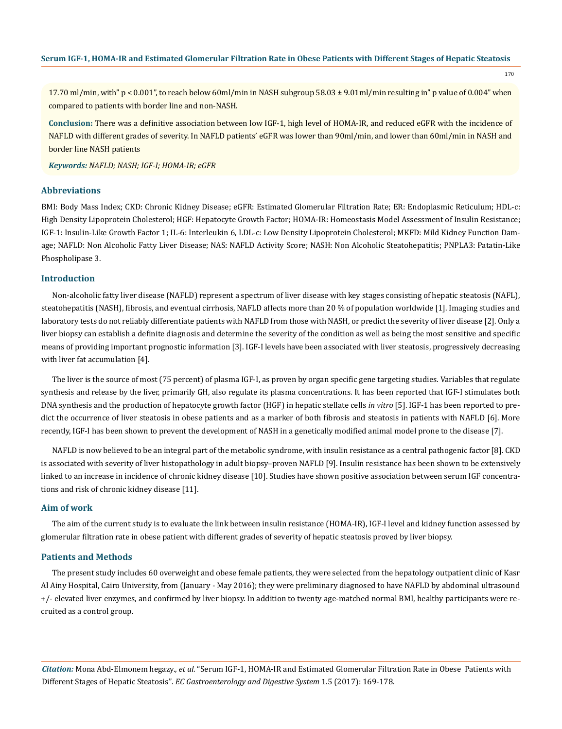170

17.70 ml/min, with" p < 0.001", to reach below 60ml/min in NASH subgroup 58.03 ± 9.01ml/min resulting in" p value of 0.004" when compared to patients with border line and non-NASH.

**Conclusion:** There was a definitive association between low IGF-1, high level of HOMA-IR, and reduced eGFR with the incidence of NAFLD with different grades of severity. In NAFLD patients' eGFR was lower than 90ml/min, and lower than 60ml/min in NASH and border line NASH patients

*Keywords: NAFLD; NASH; IGF-I; HOMA-IR; eGFR*

# **Abbreviations**

BMI: Body Mass Index; CKD: Chronic Kidney Disease; eGFR: Estimated Glomerular Filtration Rate; ER: Endoplasmic Reticulum; HDL-c: High Density Lipoprotein Cholesterol; HGF: Hepatocyte Growth Factor; HOMA-IR: Homeostasis Model Assessment of Insulin Resistance; IGF-1: Insulin-Like Growth Factor 1; IL-6: Interleukin 6, LDL-c: Low Density Lipoprotein Cholesterol; MKFD: Mild Kidney Function Damage; NAFLD: Non Alcoholic Fatty Liver Disease; NAS: NAFLD Activity Score; NASH: Non Alcoholic Steatohepatitis; PNPLA3: Patatin-Like Phospholipase 3.

## **Introduction**

Non-alcoholic fatty liver disease (NAFLD) represent a spectrum of liver disease with key stages consisting of hepatic steatosis (NAFL), steatohepatitis (NASH), fibrosis, and eventual cirrhosis, NAFLD affects more than 20 % of population worldwide [1]. Imaging studies and laboratory tests do not reliably differentiate patients with NAFLD from those with NASH, or predict the severity of liver disease [2]. Only a liver biopsy can establish a definite diagnosis and determine the severity of the condition as well as being the most sensitive and specific means of providing important prognostic information [3]. IGF-I levels have been associated with liver steatosis, progressively decreasing with liver fat accumulation [4].

The liver is the source of most (75 percent) of plasma IGF-I, as proven by organ specific gene targeting studies. Variables that regulate synthesis and release by the liver, primarily GH, also regulate its plasma concentrations. It has been reported that IGF-I stimulates both DNA synthesis and the production of hepatocyte growth factor (HGF) in hepatic stellate cells *in vitro* [5]. IGF-1 has been reported to predict the occurrence of liver steatosis in obese patients and as a marker of both fibrosis and steatosis in patients with NAFLD [6]. More recently, IGF-I has been shown to prevent the development of NASH in a genetically modified animal model prone to the disease [7].

NAFLD is now believed to be an integral part of the metabolic syndrome, with insulin resistance as a central pathogenic factor [8]. CKD is associated with severity of liver histopathology in adult biopsy–proven NAFLD [9]. Insulin resistance has been shown to be extensively linked to an increase in incidence of chronic kidney disease [10]. Studies have shown positive association between serum IGF concentrations and risk of chronic kidney disease [11].

# **Aim of work**

The aim of the current study is to evaluate the link between insulin resistance (HOMA-IR), IGF-I level and kidney function assessed by glomerular filtration rate in obese patient with different grades of severity of hepatic steatosis proved by liver biopsy.

#### **Patients and Methods**

The present study includes 60 overweight and obese female patients, they were selected from the hepatology outpatient clinic of Kasr Al Ainy Hospital, Cairo University, from (January - May 2016); they were preliminary diagnosed to have NAFLD by abdominal ultrasound +/- elevated liver enzymes, and confirmed by liver biopsy. In addition to twenty age-matched normal BMI, healthy participants were recruited as a control group.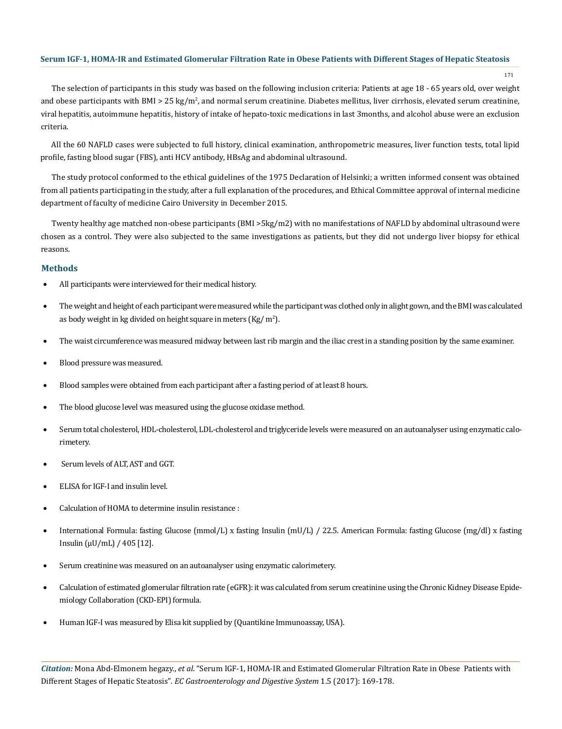171

The selection of participants in this study was based on the following inclusion criteria: Patients at age 18 - 65 years old, over weight and obese participants with BMI > 25 kg/m², and normal serum creatinine. Diabetes mellitus, liver cirrhosis, elevated serum creatinine, viral hepatitis, autoimmune hepatitis, history of intake of hepato-toxic medications in last 3months, and alcohol abuse were an exclusion criteria.

All the 60 NAFLD cases were subjected to full history, clinical examination, anthropometric measures, liver function tests, total lipid profile, fasting blood sugar (FBS), anti HCV antibody, HBsAg and abdominal ultrasound.

The study protocol conformed to the ethical guidelines of the 1975 Declaration of Helsinki; a written informed consent was obtained from all patients participating in the study, after a full explanation of the procedures, and Ethical Committee approval of internal medicine department of faculty of medicine Cairo University in December 2015.

Twenty healthy age matched non-obese participants (BMI >5kg/m2) with no manifestations of NAFLD by abdominal ultrasound were chosen as a control. They were also subjected to the same investigations as patients, but they did not undergo liver biopsy for ethical reasons.

# **Methods**

- All participants were interviewed for their medical history.
- The weight and height of each participant were measured while the participant was clothed only in alight gown, and the BMI was calculated as body weight in kg divided on height square in meters (Kg/ m<sup>2</sup>).
- The waist circumference was measured midway between last rib margin and the iliac crest in a standing position by the same examiner.
- Blood pressure was measured.
- Blood samples were obtained from each participant after a fasting period of at least 8 hours.
- The blood glucose level was measured using the glucose oxidase method.
- Serum total cholesterol, HDL-cholesterol, LDL-cholesterol and triglyceride levels were measured on an autoanalyser using enzymatic calorimetery.
- Serum levels of ALT, AST and GGT.
- ELISA for IGF-I and insulin level.
- Calculation of HOMA to determine insulin resistance :
- International Formula: fasting Glucose (mmol/L) x fasting Insulin (mU/L) / 22.5. American Formula: fasting Glucose (mg/dl) x fasting Insulin (µU/mL) / 405 [12].
- Serum creatinine was measured on an autoanalyser using enzymatic calorimetery.
- Calculation of estimated glomerular filtration rate (eGFR): it was calculated from serum creatinine using the Chronic Kidney Disease Epidemiology Collaboration (CKD-EPI) formula.
- Human IGF-I was measured by Elisa kit supplied by (Quantikine Immunoassay, USA).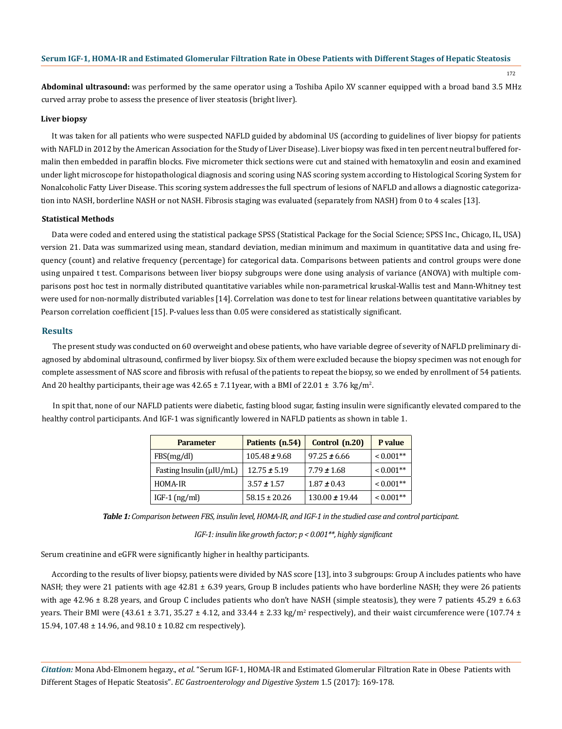172

**Abdominal ultrasound:** was performed by the same operator using a Toshiba Apilo XV scanner equipped with a broad band 3.5 MHz curved array probe to assess the presence of liver steatosis (bright liver).

#### **Liver biopsy**

It was taken for all patients who were suspected NAFLD guided by abdominal US (according to guidelines of liver biopsy for patients with NAFLD in 2012 by the American Association for the Study of Liver Disease). Liver biopsy was fixed in ten percent neutral buffered formalin then embedded in paraffin blocks. Five micrometer thick sections were cut and stained with hematoxylin and eosin and examined under light microscope for histopathological diagnosis and scoring using NAS scoring system according to Histological Scoring System for Nonalcoholic Fatty Liver Disease. This scoring system addresses the full spectrum of lesions of NAFLD and allows a diagnostic categorization into NASH, borderline NASH or not NASH. Fibrosis staging was evaluated (separately from NASH) from 0 to 4 scales [13].

#### **Statistical Methods**

Data were coded and entered using the statistical package SPSS (Statistical Package for the Social Science; SPSS Inc., Chicago, IL, USA) version 21. Data was summarized using mean, standard deviation, median minimum and maximum in quantitative data and using frequency (count) and relative frequency (percentage) for categorical data. Comparisons between patients and control groups were done using unpaired t test. Comparisons between liver biopsy subgroups were done using analysis of variance (ANOVA) with multiple comparisons post hoc test in normally distributed quantitative variables while non-parametrical kruskal-Wallis test and Mann-Whitney test were used for non-normally distributed variables [14]. Correlation was done to test for linear relations between quantitative variables by Pearson correlation coefficient [15]. P-values less than 0.05 were considered as statistically significant.

#### **Results**

The present study was conducted on 60 overweight and obese patients, who have variable degree of severity of NAFLD preliminary diagnosed by abdominal ultrasound, confirmed by liver biopsy. Six of them were excluded because the biopsy specimen was not enough for complete assessment of NAS score and fibrosis with refusal of the patients to repeat the biopsy, so we ended by enrollment of 54 patients. And 20 healthy participants, their age was 42.65  $\pm$  7.11year, with a BMI of 22.01  $\pm$  3.76 kg/m<sup>2</sup>.

In spit that, none of our NAFLD patients were diabetic, fasting blood sugar, fasting insulin were significantly elevated compared to the healthy control participants. And IGF-1 was significantly lowered in NAFLD patients as shown in table 1.

| <b>Parameter</b>             | Patients (n.54)   | Control (n.20)     | P value     |
|------------------------------|-------------------|--------------------|-------------|
| FBS(mg/dl)                   | $105.48 \pm 9.68$ | $97.25 \pm 6.66$   | $< 0.001**$ |
| Fasting Insulin $(\mu U/mL)$ | $12.75 \pm 5.19$  | $7.79 \pm 1.68$    | $< 0.001**$ |
| HOMA-IR                      | $3.57 \pm 1.57$   | $1.87 \pm 0.43$    | $< 0.001**$ |
| IGF-1 $(ng/ml)$              | $58.15 \pm 20.26$ | $130.00 \pm 19.44$ | $< 0.001**$ |

*Table 1: Comparison between FBS, insulin level, HOMA-IR, and IGF-1 in the studied case and control participant.* 

 *IGF-1: insulin like growth factor; p < 0.001\*\*, highly significant* 

Serum creatinine and eGFR were significantly higher in healthy participants.

According to the results of liver biopsy, patients were divided by NAS score [13], into 3 subgroups: Group A includes patients who have NASH; they were 21 patients with age 42.81  $\pm$  6.39 years, Group B includes patients who have borderline NASH; they were 26 patients with age  $42.96 \pm 8.28$  years, and Group C includes patients who don't have NASH (simple steatosis), they were 7 patients  $45.29 \pm 6.63$ years. Their BMI were (43.61  $\pm$  3.71, 35.27  $\pm$  4.12, and 33.44  $\pm$  2.33 kg/m<sup>2</sup> respectively), and their waist circumference were (107.74  $\pm$ 15.94, 107.48 ± 14.96, and 98.10 ± 10.82 cm respectively).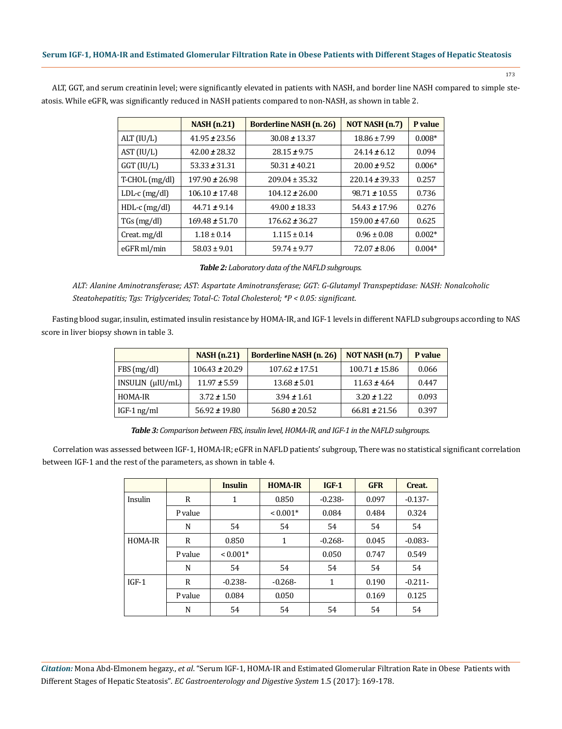|                  | <b>NASH</b> (n.21) | <b>Borderline NASH</b> (n. 26) | NOT NASH (n.7)     | P value  |
|------------------|--------------------|--------------------------------|--------------------|----------|
| ALT (IU/L)       | $41.95 \pm 23.56$  | $30.08 \pm 13.37$              | $18.86 \pm 7.99$   | $0.008*$ |
| AST (IU/L)       | $42.00 \pm 28.32$  | $28.15 \pm 9.75$               | $24.14 \pm 6.12$   | 0.094    |
| $GGT$ (IU/L)     | $53.33 \pm 31.31$  | $50.31 \pm 40.21$              | $20.00 \pm 9.52$   | $0.006*$ |
| $T-CHOL$ (mg/dl) | $197.90 \pm 26.98$ | $209.04 \pm 35.32$             | $220.14 \pm 39.33$ | 0.257    |
| $LDL-c$ (mg/dl)  | $106.10 \pm 17.48$ | $104.12 \pm 26.00$             | $98.71 \pm 10.55$  | 0.736    |
| $HDL-c$ (mg/dl)  | $44.71 \pm 9.14$   | 49.00 $\pm$ 18.33              | $54.43 \pm 17.96$  | 0.276    |
| $TGs$ (mg/dl)    | $169.48 \pm 51.70$ | $176.62 \pm 36.27$             | $159.00 \pm 47.60$ | 0.625    |
| Creat. mg/dl     | $1.18 \pm 0.14$    | $1.115 \pm 0.14$               | $0.96 \pm 0.08$    | $0.002*$ |
| eGFR ml/min      | $58.03 \pm 9.01$   | $59.74 \pm 9.77$               | $72.07 \pm 8.06$   | $0.004*$ |

ALT, GGT, and serum creatinin level; were significantly elevated in patients with NASH, and border line NASH compared to simple steatosis. While eGFR, was significantly reduced in NASH patients compared to non-NASH, as shown in table 2.

173

|  | Table 2: Laboratory data of the NAFLD subgroups. |  |  |  |
|--|--------------------------------------------------|--|--|--|
|--|--------------------------------------------------|--|--|--|

*ALT: Alanine Aminotransferase; AST: Aspartate Aminotransferase; GGT: G-Glutamyl Transpeptidase: NASH: Nonalcoholic Steatohepatitis; Tgs: Triglycerides; Total-C: Total Cholesterol; \*P < 0.05: significant.*

Fasting blood sugar, insulin, estimated insulin resistance by HOMA-IR, and IGF-1 levels in different NAFLD subgroups according to NAS score in liver biopsy shown in table 3.

|                          | <b>NASH</b> (n.21) | <b>Borderline NASH</b> (n. 26) | NOT NASH (n.7)     | P value |
|--------------------------|--------------------|--------------------------------|--------------------|---------|
| FBS(mg/dl)               | $106.43 \pm 20.29$ | $107.62 \pm 17.51$             | $100.71 \pm 15.86$ | 0.066   |
| $INSULIN$ $(\mu I U/mL)$ | $11.97 \pm 5.59$   | $13.68 \pm 5.01$               | $11.63 \pm 4.64$   | 0.447   |
| HOMA-IR                  | $3.72 \pm 1.50$    | $3.94 \pm 1.61$                | $3.20 \pm 1.22$    | 0.093   |
| $IGF-1$ ng/ml            | $56.92 \pm 19.80$  | $56.80 \pm 20.52$              | $66.81 \pm 21.56$  | 0.397   |

*Table 3: Comparison between FBS, insulin level, HOMA-IR, and IGF-1 in the NAFLD subgroups.*

Correlation was assessed between IGF-1, HOMA-IR; eGFR in NAFLD patients' subgroup, There was no statistical significant correlation between IGF-1 and the rest of the parameters, as shown in table 4.

|         |         | <b>Insulin</b> | <b>HOMA-IR</b> | $IGF-1$   | <b>GFR</b> | Creat.    |
|---------|---------|----------------|----------------|-----------|------------|-----------|
| Insulin | R       | 1              | 0.850          | $-0.238-$ | 0.097      | $-0.137-$ |
|         | P value |                | $< 0.001*$     | 0.084     | 0.484      | 0.324     |
|         | N       | 54             | 54             | 54        | 54         | 54        |
| HOMA-IR | R       | 0.850          | 1              | $-0.268-$ | 0.045      | $-0.083-$ |
|         | P value | $< 0.001*$     |                | 0.050     | 0.747      | 0.549     |
|         | N       | 54             | 54             | 54        | 54         | 54        |
| $IGF-1$ | R       | $-0.238-$      | $-0.268-$      | 1         | 0.190      | $-0.211-$ |
|         | P value | 0.084          | 0.050          |           | 0.169      | 0.125     |
|         | N       | 54             | 54             | 54        | 54         | 54        |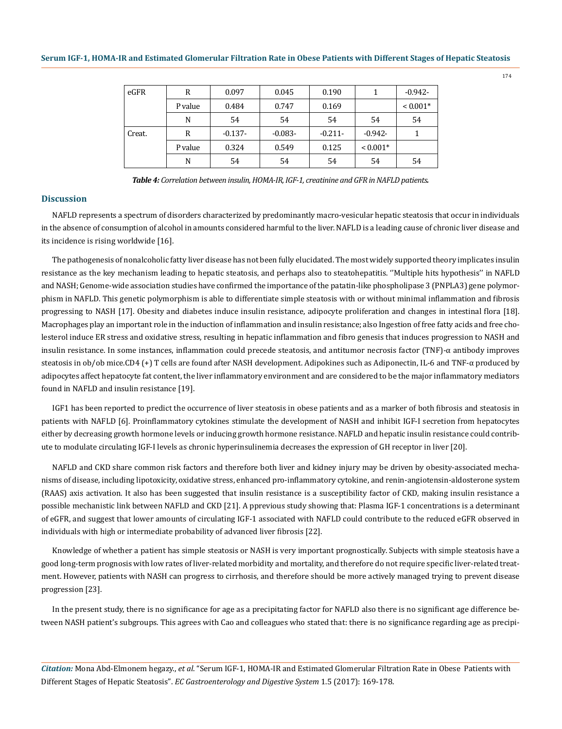| eGFR   | R       | 0.097     | 0.045     | 0.190     |            | $-0.942-$  |
|--------|---------|-----------|-----------|-----------|------------|------------|
|        | P value | 0.484     | 0.747     | 0.169     |            | $< 0.001*$ |
|        | N       | 54        | 54        | 54        | 54         | 54         |
| Creat. | R       | $-0.137-$ | $-0.083-$ | $-0.211-$ | $-0.942-$  |            |
|        | P value | 0.324     | 0.549     | 0.125     | $< 0.001*$ |            |
|        | N       | 54        | 54        | 54        | 54         | 54         |

*Table 4: Correlation between insulin, HOMA-IR, IGF-1, creatinine and GFR in NAFLD patients.*

#### **Discussion**

NAFLD represents a spectrum of disorders characterized by predominantly macro-vesicular hepatic steatosis that occur in individuals in the absence of consumption of alcohol in amounts considered harmful to the liver. NAFLD is a leading cause of chronic liver disease and its incidence is rising worldwide [16].

The pathogenesis of nonalcoholic fatty liver disease has not been fully elucidated. The most widely supported theory implicates insulin resistance as the key mechanism leading to hepatic steatosis, and perhaps also to steatohepatitis. ''Multiple hits hypothesis'' in NAFLD and NASH; Genome-wide association studies have confirmed the importance of the patatin-like phospholipase 3 (PNPLA3) gene polymorphism in NAFLD. This genetic polymorphism is able to differentiate simple steatosis with or without minimal inflammation and fibrosis progressing to NASH [17]. Obesity and diabetes induce insulin resistance, adipocyte proliferation and changes in intestinal flora [18]. Macrophages play an important role in the induction of inflammation and insulin resistance; also Ingestion of free fatty acids and free cholesterol induce ER stress and oxidative stress, resulting in hepatic inflammation and fibro genesis that induces progression to NASH and insulin resistance. In some instances, inflammation could precede steatosis, and antitumor necrosis factor (TNF)-α antibody improves steatosis in ob/ob mice.CD4 (+) T cells are found after NASH development. Adipokines such as Adiponectin, IL-6 and TNF-α produced by adipocytes affect hepatocyte fat content, the liver inflammatory environment and are considered to be the major inflammatory mediators found in NAFLD and insulin resistance [19].

IGF1 has been reported to predict the occurrence of liver steatosis in obese patients and as a marker of both fibrosis and steatosis in patients with NAFLD [6]. Proinflammatory cytokines stimulate the development of NASH and inhibit IGF-I secretion from hepatocytes either by decreasing growth hormone levels or inducing growth hormone resistance. NAFLD and hepatic insulin resistance could contribute to modulate circulating IGF-I levels as chronic hyperinsulinemia decreases the expression of GH receptor in liver [20].

NAFLD and CKD share common risk factors and therefore both liver and kidney injury may be driven by obesity-associated mechanisms of disease, including lipotoxicity, oxidative stress, enhanced pro-inflammatory cytokine, and renin-angiotensin-aldosterone system (RAAS) axis activation. It also has been suggested that insulin resistance is a susceptibility factor of CKD, making insulin resistance a possible mechanistic link between NAFLD and CKD [21]. A pprevious study showing that: Plasma IGF-1 concentrations is a determinant of eGFR, and suggest that lower amounts of circulating IGF-1 associated with NAFLD could contribute to the reduced eGFR observed in individuals with high or intermediate probability of advanced liver fibrosis [22].

Knowledge of whether a patient has simple steatosis or NASH is very important prognostically. Subjects with simple steatosis have a good long-term prognosis with low rates of liver-related morbidity and mortality, and therefore do not require specific liver-related treatment. However, patients with NASH can progress to cirrhosis, and therefore should be more actively managed trying to prevent disease progression [23].

In the present study, there is no significance for age as a precipitating factor for NAFLD also there is no significant age difference between NASH patient's subgroups. This agrees with Cao and colleagues who stated that: there is no significance regarding age as precipi-

*Citation:* Mona Abd-Elmonem hegazy., *et al*. "Serum IGF-1, HOMA-IR and Estimated Glomerular Filtration Rate in Obese Patients with Different Stages of Hepatic Steatosis". *EC Gastroenterology and Digestive System* 1.5 (2017): 169-178.

174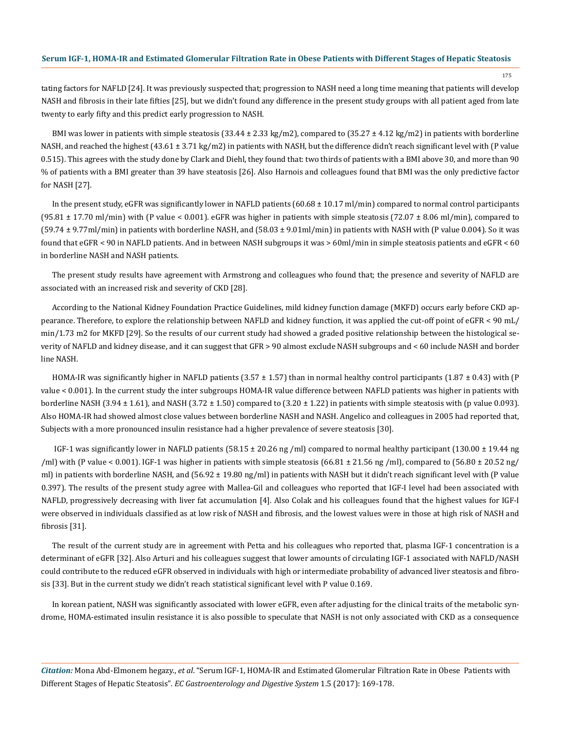175

tating factors for NAFLD [24]. It was previously suspected that; progression to NASH need a long time meaning that patients will develop NASH and fibrosis in their late fifties [25], but we didn't found any difference in the present study groups with all patient aged from late twenty to early fifty and this predict early progression to NASH.

BMI was lower in patients with simple steatosis  $(33.44 \pm 2.33 \text{ kg/m2})$ , compared to  $(35.27 \pm 4.12 \text{ kg/m2})$  in patients with borderline NASH, and reached the highest (43.61 ± 3.71 kg/m2) in patients with NASH, but the difference didn't reach significant level with (P value 0.515). This agrees with the study done by Clark and Diehl, they found that: two thirds of patients with a BMI above 30, and more than 90 % of patients with a BMI greater than 39 have steatosis [26]. Also Harnois and colleagues found that BMI was the only predictive factor for NASH [27].

In the present study, eGFR was significantly lower in NAFLD patients  $(60.68 \pm 10.17 \text{ ml/min})$  compared to normal control participants  $(95.81 \pm 17.70 \text{ ml/min})$  with (P value < 0.001). eGFR was higher in patients with simple steatosis (72.07  $\pm$  8.06 ml/min), compared to  $(59.74 \pm 9.77$ ml/min) in patients with borderline NASH, and  $(58.03 \pm 9.01$ ml/min) in patients with NASH with (P value 0.004). So it was found that eGFR < 90 in NAFLD patients. And in between NASH subgroups it was > 60ml/min in simple steatosis patients and eGFR < 60 in borderline NASH and NASH patients.

The present study results have agreement with Armstrong and colleagues who found that; the presence and severity of NAFLD are associated with an increased risk and severity of CKD [28].

According to the National Kidney Foundation Practice Guidelines, mild kidney function damage (MKFD) occurs early before CKD appearance. Therefore, to explore the relationship between NAFLD and kidney function, it was applied the cut-off point of eGFR < 90 mL/ min/1.73 m2 for MKFD [29]. So the results of our current study had showed a graded positive relationship between the histological severity of NAFLD and kidney disease, and it can suggest that GFR > 90 almost exclude NASH subgroups and < 60 include NASH and border line NASH.

HOMA-IR was significantly higher in NAFLD patients (3.57  $\pm$  1.57) than in normal healthy control participants (1.87  $\pm$  0.43) with (P value < 0.001). In the current study the inter subgroups HOMA-IR value difference between NAFLD patients was higher in patients with borderline NASH (3.94  $\pm$  1.61), and NASH (3.72  $\pm$  1.50) compared to (3.20  $\pm$  1.22) in patients with simple steatosis with (p value 0.093). Also HOMA-IR had showed almost close values between borderline NASH and NASH. Angelico and colleagues in 2005 had reported that, Subjects with a more pronounced insulin resistance had a higher prevalence of severe steatosis [30].

IGF-1 was significantly lower in NAFLD patients (58.15  $\pm$  20.26 ng /ml) compared to normal healthy participant (130.00  $\pm$  19.44 ng /ml) with (P value < 0.001). IGF-1 was higher in patients with simple steatosis (66.81  $\pm$  21.56 ng /ml), compared to (56.80  $\pm$  20.52 ng/ ml) in patients with borderline NASH, and (56.92 ± 19.80 ng/ml) in patients with NASH but it didn't reach significant level with (P value 0.397). The results of the present study agree with Mallea-Gil and colleagues who reported that IGF-I level had been associated with NAFLD, progressively decreasing with liver fat accumulation [4]. Also Colak and his colleagues found that the highest values for IGF-I were observed in individuals classified as at low risk of NASH and fibrosis, and the lowest values were in those at high risk of NASH and fibrosis [31].

The result of the current study are in agreement with Petta and his colleagues who reported that, plasma IGF-1 concentration is a determinant of eGFR [32]. Also Arturi and his colleagues suggest that lower amounts of circulating IGF-1 associated with NAFLD/NASH could contribute to the reduced eGFR observed in individuals with high or intermediate probability of advanced liver steatosis and fibrosis [33]. But in the current study we didn't reach statistical significant level with P value 0.169.

In korean patient, NASH was significantly associated with lower eGFR, even after adjusting for the clinical traits of the metabolic syndrome, HOMA-estimated insulin resistance it is also possible to speculate that NASH is not only associated with CKD as a consequence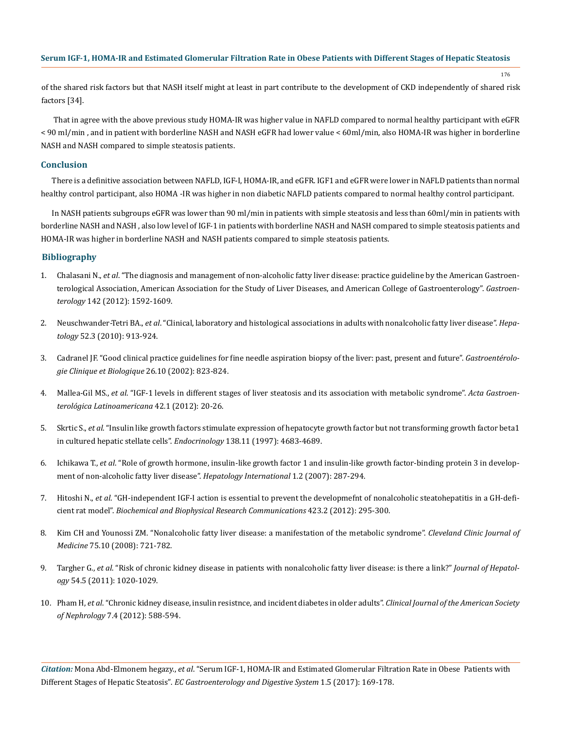of the shared risk factors but that NASH itself might at least in part contribute to the development of CKD independently of shared risk factors [34].

176

 That in agree with the above previous study HOMA-IR was higher value in NAFLD compared to normal healthy participant with eGFR < 90 ml/min , and in patient with borderline NASH and NASH eGFR had lower value < 60ml/min, also HOMA-IR was higher in borderline NASH and NASH compared to simple steatosis patients.

# **Conclusion**

There is a definitive association between NAFLD, IGF-I, HOMA-IR, and eGFR. IGF1 and eGFR were lower in NAFLD patients than normal healthy control participant, also HOMA -IR was higher in non diabetic NAFLD patients compared to normal healthy control participant.

In NASH patients subgroups eGFR was lower than 90 ml/min in patients with simple steatosis and less than 60ml/min in patients with borderline NASH and NASH , also low level of IGF-1 in patients with borderline NASH and NASH compared to simple steatosis patients and HOMA-IR was higher in borderline NASH and NASH patients compared to simple steatosis patients.

# **Bibliography**

- 1. Chalasani N., *et al*. "The diagnosis and management of non-alcoholic fatty liver disease: practice guideline by the American Gastroenterological Association, American Association for the Study of Liver Diseases, and American College of Gastroenterology". *Gastroenterology* 142 (2012): 1592-1609.
- 2. Neuschwander-Tetri BA., *et al*[. "Clinical, laboratory and histological associations in adults with nonalcoholic fatty liver disease".](https://www.ncbi.nlm.nih.gov/pubmed/20648476) *Hepatology* [52.3 \(2010\): 913-924.](https://www.ncbi.nlm.nih.gov/pubmed/20648476)
- 3. [Cadranel JF. "Good clinical practice guidelines for fine needle aspiration biopsy of the liver: past, present and future".](https://www.ncbi.nlm.nih.gov/pubmed/12434092) *Gastroentérolo[gie Clinique et Biologique](https://www.ncbi.nlm.nih.gov/pubmed/12434092)* 26.10 (2002): 823-824.
- 4. Mallea-Gil MS., *et al*[. "IGF-1 levels in different stages of liver steatosis and its association with metabolic syndrome".](https://www.ncbi.nlm.nih.gov/pubmed/22616493) *Acta Gastroen[terológica Latinoamericana](https://www.ncbi.nlm.nih.gov/pubmed/22616493)* 42.1 (2012): 20-26.
- 5. Skrtic S., *et al*[. "Insulin like growth factors stimulate expression of hepatocyte growth factor but not transforming growth factor beta1](https://www.ncbi.nlm.nih.gov/pubmed/9348194) [in cultured hepatic stellate cells".](https://www.ncbi.nlm.nih.gov/pubmed/9348194) *Endocrinology* 138.11 (1997): 4683-4689.
- 6. Ichikawa T., *et al*[. "Role of growth hormone, insulin-like growth factor 1 and insulin-like growth factor-binding protein 3 in develop](https://www.ncbi.nlm.nih.gov/pmc/articles/PMC2716823/)[ment of non-alcoholic fatty liver disease".](https://www.ncbi.nlm.nih.gov/pmc/articles/PMC2716823/) *Hepatology International* 1.2 (2007): 287-294.
- 7. Hitoshi N., *et al*[. "GH-independent IGF-I action is essential to prevent the developmefnt of nonalcoholic steatohepatitis in a GH-defi](https://www.ncbi.nlm.nih.gov/pubmed/22659415)cient rat model". *[Biochemical and Biophysical Research Communications](https://www.ncbi.nlm.nih.gov/pubmed/22659415)* 423.2 (2012): 295-300.
- 8. [Kim CH and Younossi ZM. "Nonalcoholic fatty liver disease: a manifestation of the metabolic syndrome".](https://www.ncbi.nlm.nih.gov/pubmed/18939388) *Cleveland Clinic Journal of Medicine* [75.10 \(2008\): 721-782.](https://www.ncbi.nlm.nih.gov/pubmed/18939388)
- 9. Targher G., *et al*[. "Risk of chronic kidney disease in patients with nonalcoholic fatty liver disease: is there a link?"](https://www.ncbi.nlm.nih.gov/pubmed/21145850) *Journal of Hepatology* [54.5 \(2011\): 1020-1029.](https://www.ncbi.nlm.nih.gov/pubmed/21145850)
- 10. Pham H, *et al*[. "Chronic kidney disease, insulin resistnce, and incident diabetes in older adults".](https://www.ncbi.nlm.nih.gov/pmc/articles/PMC3315343/) *Clinical Journal of the American Society of Nephrology* [7.4 \(2012\): 588-594.](https://www.ncbi.nlm.nih.gov/pmc/articles/PMC3315343/)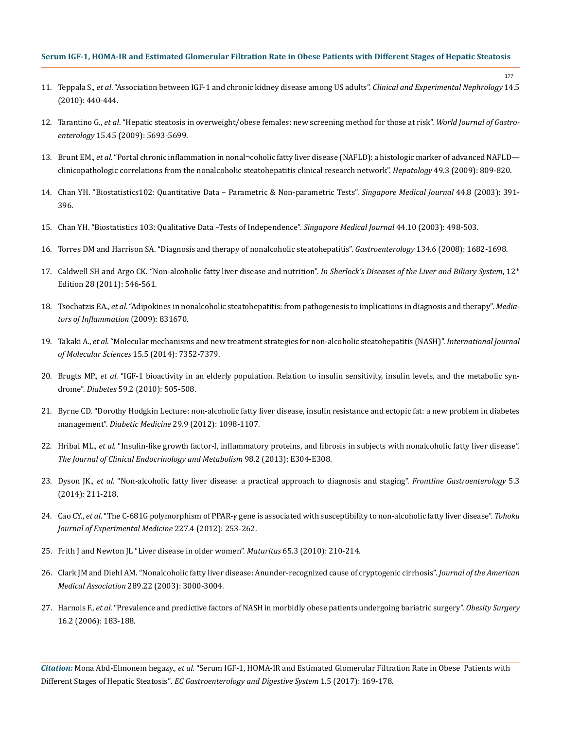11. Teppala S., *et al*[. "Association between IGF-1 and chronic kidney disease among US adults".](https://www.ncbi.nlm.nih.gov/pubmed/20567872) *Clinical and Experimental Nephrology* 14.5 [\(2010\): 440-444.](https://www.ncbi.nlm.nih.gov/pubmed/20567872)

177

- 12. Tarantino G., *et al*[. "Hepatic steatosis in overweight/obese females: new screening method for those at risk".](https://www.ncbi.nlm.nih.gov/pmc/articles/PMC2789222/) *World Journal of Gastroenterology* [15.45 \(2009\): 5693-5699.](https://www.ncbi.nlm.nih.gov/pmc/articles/PMC2789222/)
- 13. Brunt EM., *et al*[. "Portal chronic inflammation in nonal¬coholic fatty liver disease \(NAFLD\): a histologic marker of advanced NAFLD](https://www.ncbi.nlm.nih.gov/pubmed/19142989) [clinicopathologic correlations from the nonalcoholic steatohepatitis clinical research network".](https://www.ncbi.nlm.nih.gov/pubmed/19142989) *Hepatology* 49.3 (2009): 809-820.
- 14. [Chan YH. "Biostatistics102: Quantitative Data Parametric & Non-parametric Tests".](http://nuhs.edu.sg/wbn/slot/u3344/biostat102_resources.pdf) *Singapore Medical Journal* 44.8 (2003): 391- [396.](http://nuhs.edu.sg/wbn/slot/u3344/biostat102_resources.pdf)
- 15. [Chan YH. "Biostatistics 103: Qualitative Data –Tests of Independence".](http://nuhs.edu.sg/wbn/slot/u3344/biostat103_resources.pdf) *Singapore Medical Journal* 44.10 (2003): 498-503.
- 16. [Torres DM and Harrison SA. "Diagnosis and therapy of nonalcoholic steatohepatitis".](https://www.ncbi.nlm.nih.gov/pubmed/18471547) *Gastroenterology* 134.6 (2008): 1682-1698.
- 17. [Caldwell SH and Argo CK. "Non-alcoholic fatty liver disease and nutrition".](http://onlinelibrary.wiley.com/doi/10.1002/9781444341294.ch28/summary) *In Sherlock's Diseases of the Liver and Biliary System*, 12th [Edition 28 \(2011\): 546-561.](http://onlinelibrary.wiley.com/doi/10.1002/9781444341294.ch28/summary)
- 18. Tsochatzis EA., *et al*[. "Adipokines in nonalcoholic steatohepatitis: from pathogenesis to implications in diagnosis and therapy".](https://www.ncbi.nlm.nih.gov/pubmed/19753129) *Media[tors of Inflammation](https://www.ncbi.nlm.nih.gov/pubmed/19753129)* (2009): 831670.
- 19. Takaki A., *et al*[. "Molecular mechanisms and new treatment strategies for non-alcoholic steatohepatitis \(NASH\)".](https://www.ncbi.nlm.nih.gov/pubmed/24786095) *International Journal [of Molecular Sciences](https://www.ncbi.nlm.nih.gov/pubmed/24786095)* 15.5 (2014): 7352-7379.
- 20. Brugts MP., *et al*[. "IGF-1 bioactivity in an elderly population. Relation to insulin sensitivity, insulin levels, and the metabolic syn](https://www.ncbi.nlm.nih.gov/pubmed/20103714)drome". *Diabetes* [59.2 \(2010\): 505-508.](https://www.ncbi.nlm.nih.gov/pubmed/20103714)
- 21. [Byrne CD. "Dorothy Hodgkin Lecture: non-alcoholic fatty liver disease, insulin resistance and ectopic fat: a new problem in diabetes](https://www.ncbi.nlm.nih.gov/pubmed/22672330) management". *Diabetic Medicine* [29.9 \(2012\): 1098-1107.](https://www.ncbi.nlm.nih.gov/pubmed/22672330)
- 22. Hribal ML., *et al*[. "Insulin-like growth factor-I, inflammatory proteins, and fibrosis in subjects with nonalcoholic fatty liver disease".](https://www.ncbi.nlm.nih.gov/pubmed/23316084) *[The Journal of Clinical Endocrinology and Metabolism](https://www.ncbi.nlm.nih.gov/pubmed/23316084)* 98.2 (2013): E304-E308.
- 23. Dyson JK., *et al*[. "Non-alcoholic fatty liver disease: a practical approach to diagnosis and staging".](https://www.ncbi.nlm.nih.gov/pubmed/25018867) *Frontline Gastroenterology* 5.3 [\(2014\): 211-218.](https://www.ncbi.nlm.nih.gov/pubmed/25018867)
- 24. Cao CY., *et al*[. "The C-681G polymorphism of PPAR-γ gene is associated with susceptibility to non-alcoholic fatty liver disease".](https://www.ncbi.nlm.nih.gov/pubmed/22820754) *Tohoku [Journal of Experimental Medicine](https://www.ncbi.nlm.nih.gov/pubmed/22820754)* 227.4 (2012): 253-262.
- 25. [Frith J and Newton JL "Liver disease in older women".](https://www.ncbi.nlm.nih.gov/pubmed/19962256) *Maturitas* 65.3 (2010): 210-214.
- 26. [Clark JM and Diehl AM. "Nonalcoholic fatty liver disease: Anunder-recognized cause of cryptogenic cirrhosis".](https://www.ncbi.nlm.nih.gov/pubmed/12799409) *Journal of the American Medical Association* [289.22 \(2003\): 3000-3004.](https://www.ncbi.nlm.nih.gov/pubmed/12799409)
- 27. Harnois F., *et al*[. "Prevalence and predictive factors of NASH in morbidly obese patients undergoing bariatric surgery".](https://www.ncbi.nlm.nih.gov/pubmed/16469221) *Obesity Surgery* [16.2 \(2006\): 183-188.](https://www.ncbi.nlm.nih.gov/pubmed/16469221)